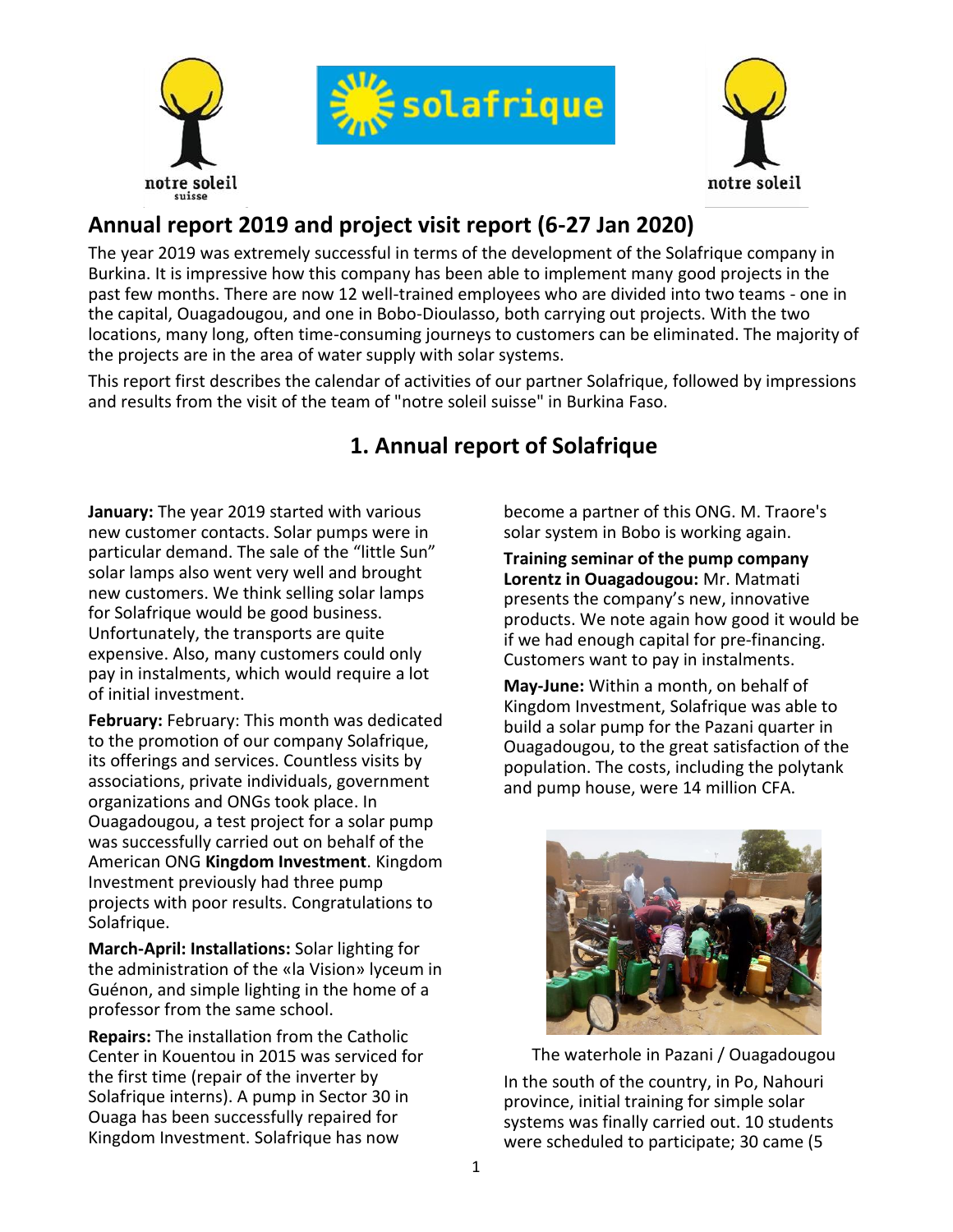





# **Annual report 2019 and project visit report (6-27 Jan 2020)**

The year 2019 was extremely successful in terms of the development of the Solafrique company in Burkina. It is impressive how this company has been able to implement many good projects in the past few months. There are now 12 well-trained employees who are divided into two teams - one in the capital, Ouagadougou, and one in Bobo-Dioulasso, both carrying out projects. With the two locations, many long, often time-consuming journeys to customers can be eliminated. The majority of the projects are in the area of water supply with solar systems.

This report first describes the calendar of activities of our partner Solafrique, followed by impressions and results from the visit of the team of "notre soleil suisse" in Burkina Faso.

## **1. Annual report of Solafrique**

**January:** The year 2019 started with various new customer contacts. Solar pumps were in particular demand. The sale of the "little Sun" solar lamps also went very well and brought new customers. We think selling solar lamps for Solafrique would be good business. Unfortunately, the transports are quite expensive. Also, many customers could only pay in instalments, which would require a lot of initial investment.

**February:** February: This month was dedicated to the promotion of our company Solafrique, its offerings and services. Countless visits by associations, private individuals, government organizations and ONGs took place. In Ouagadougou, a test project for a solar pump was successfully carried out on behalf of the American ONG **Kingdom Investment**. Kingdom Investment previously had three pump projects with poor results. Congratulations to Solafrique.

**March-April: Installations:** Solar lighting for the administration of the «la Vision» lyceum in Guénon, and simple lighting in the home of a professor from the same school.

**Repairs:** The installation from the Catholic Center in Kouentou in 2015 was serviced for the first time (repair of the inverter by Solafrique interns). A pump in Sector 30 in Ouaga has been successfully repaired for Kingdom Investment. Solafrique has now

become a partner of this ONG. M. Traore's solar system in Bobo is working again.

**Training seminar of the pump company Lorentz in Ouagadougou:** Mr. Matmati presents the company's new, innovative products. We note again how good it would be if we had enough capital for pre-financing. Customers want to pay in instalments.

**May-June:** Within a month, on behalf of Kingdom Investment, Solafrique was able to build a solar pump for the Pazani quarter in Ouagadougou, to the great satisfaction of the population. The costs, including the polytank and pump house, were 14 million CFA.



The waterhole in Pazani / Ouagadougou

In the south of the country, in Po, Nahouri province, initial training for simple solar systems was finally carried out. 10 students were scheduled to participate; 30 came (5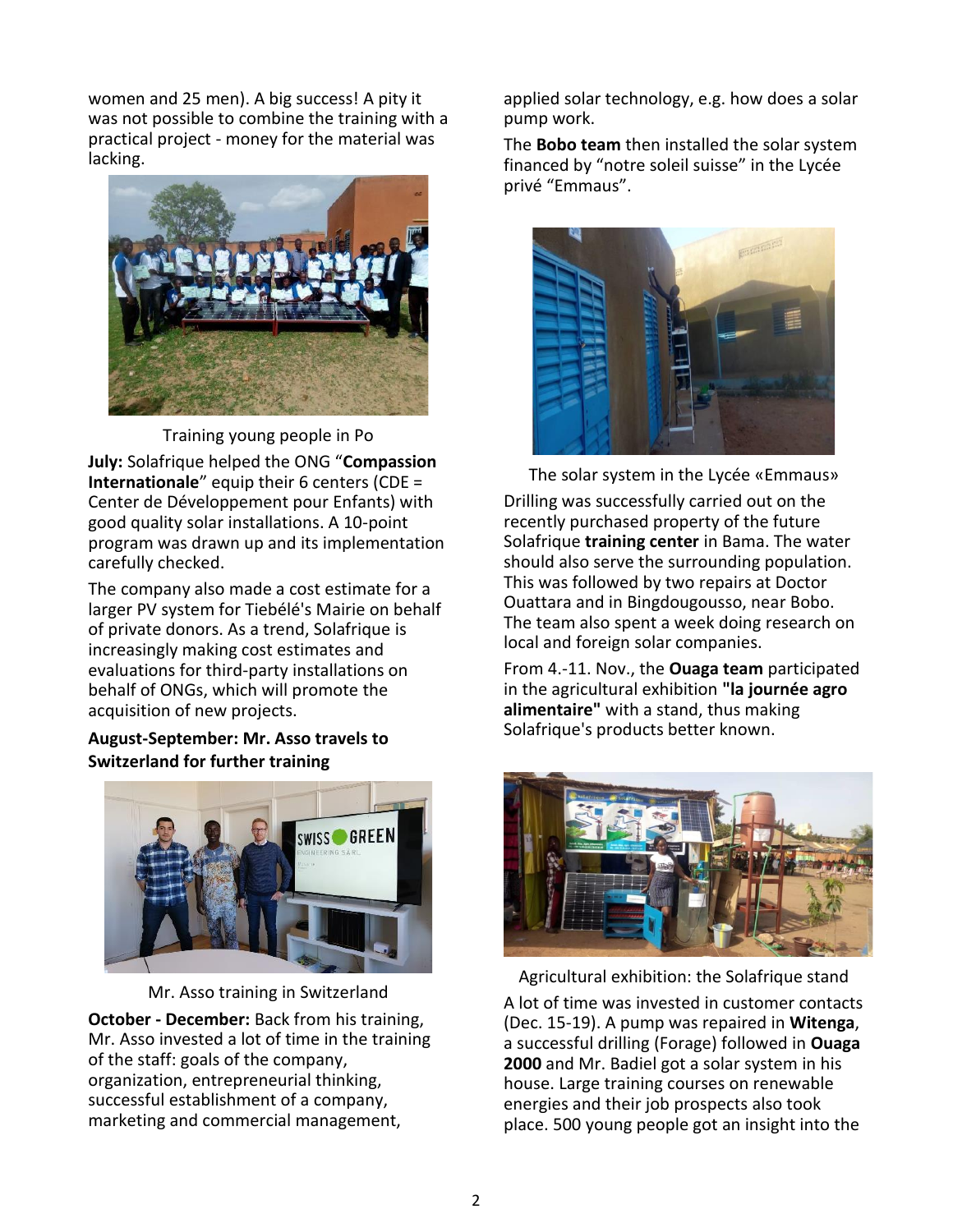women and 25 men). A big success! A pity it was not possible to combine the training with a practical project - money for the material was lacking.



Training young people in Po

**July:** Solafrique helped the ONG "**Compassion Internationale**" equip their 6 centers (CDE = Center de Développement pour Enfants) with good quality solar installations. A 10-point program was drawn up and its implementation carefully checked.

The company also made a cost estimate for a larger PV system for Tiebélé's Mairie on behalf of private donors. As a trend, Solafrique is increasingly making cost estimates and evaluations for third-party installations on behalf of ONGs, which will promote the acquisition of new projects.

### **August-September: Mr. Asso travels to Switzerland for further training**



Mr. Asso training in Switzerland

**October - December:** Back from his training, Mr. Asso invested a lot of time in the training of the staff: goals of the company, organization, entrepreneurial thinking, successful establishment of a company, marketing and commercial management,

applied solar technology, e.g. how does a solar pump work.

The **Bobo team** then installed the solar system financed by "notre soleil suisse" in the Lycée privé "Emmaus".



The solar system in the Lycée «Emmaus»

Drilling was successfully carried out on the recently purchased property of the future Solafrique **training center** in Bama. The water should also serve the surrounding population. This was followed by two repairs at Doctor Ouattara and in Bingdougousso, near Bobo. The team also spent a week doing research on local and foreign solar companies.

From 4.-11. Nov., the **Ouaga team** participated in the agricultural exhibition **"la journée agro alimentaire"** with a stand, thus making Solafrique's products better known.



Agricultural exhibition: the Solafrique stand A lot of time was invested in customer contacts (Dec. 15-19). A pump was repaired in **Witenga**, a successful drilling (Forage) followed in **Ouaga 2000** and Mr. Badiel got a solar system in his house. Large training courses on renewable energies and their job prospects also took place. 500 young people got an insight into the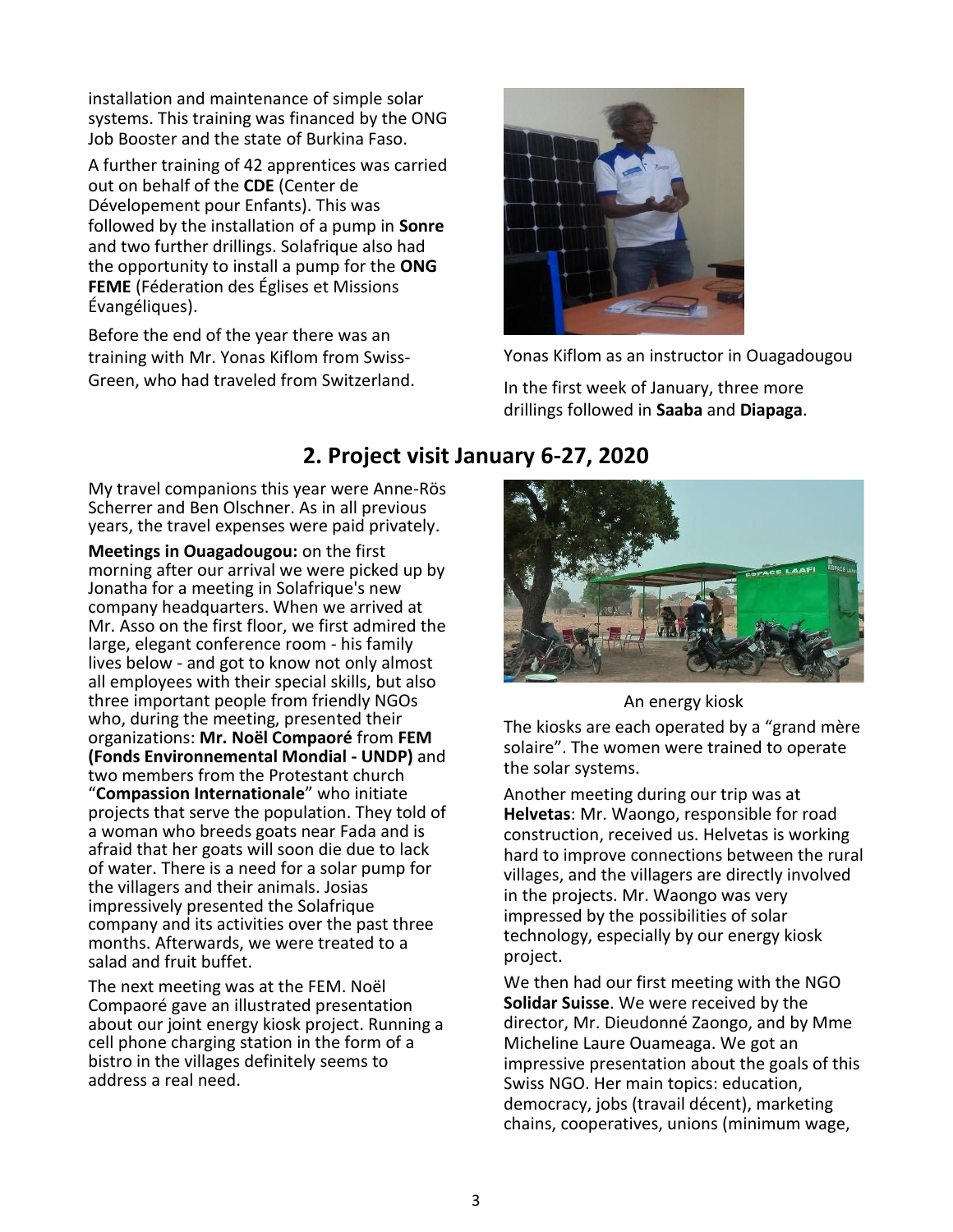installation and maintenance of simple solar systems. This training was financed by the ONG Job Booster and the state of Burkina Faso.

A further training of 42 apprentices was carried out on behalf of the **CDE** (Center de Dévelopement pour Enfants). This was followed by the installation of a pump in **Sonre** and two further drillings. Solafrique also had the opportunity to install a pump for the **ONG FEME** (Féderation des Églises et Missions Évangéliques).

Before the end of the year there was an training with Mr. Yonas Kiflom from Swiss-Green, who had traveled from Switzerland.



Yonas Kiflom as an instructor in Ouagadougou

In the first week of January, three more drillings followed in **Saaba** and **Diapaga**.

### **2. Project visit January 6-27, 2020**

My travel companions this year were Anne-Rös Scherrer and Ben Olschner. As in all previous years, the travel expenses were paid privately.

**Meetings in Ouagadougou:** on the first morning after our arrival we were picked up by Jonatha for a meeting in Solafrique's new company headquarters. When we arrived at Mr. Asso on the first floor, we first admired the large, elegant conference room - his family lives below - and got to know not only almost all employees with their special skills, but also three important people from friendly NGOs who, during the meeting, presented their organizations: **Mr. Noël Compaoré** from **FEM (Fonds Environnemental Mondial - UNDP)** and two members from the Protestant church "**Compassion Internationale**" who initiate projects that serve the population. They told of a woman who breeds goats near Fada and is afraid that her goats will soon die due to lack of water. There is a need for a solar pump for the villagers and their animals. Josias impressively presented the Solafrique company and its activities over the past three months. Afterwards, we were treated to a salad and fruit buffet.

The next meeting was at the FEM. Noël Compaoré gave an illustrated presentation about our joint energy kiosk project. Running a cell phone charging station in the form of a bistro in the villages definitely seems to address a real need.



An energy kiosk

The kiosks are each operated by a "grand mère solaire". The women were trained to operate the solar systems.

Another meeting during our trip was at **Helvetas**: Mr. Waongo, responsible for road construction, received us. Helvetas is working hard to improve connections between the rural villages, and the villagers are directly involved in the projects. Mr. Waongo was very impressed by the possibilities of solar technology, especially by our energy kiosk project.

We then had our first meeting with the NGO **Solidar Suisse**. We were received by the director, Mr. Dieudonné Zaongo, and by Mme Micheline Laure Ouameaga. We got an impressive presentation about the goals of this Swiss NGO. Her main topics: education, democracy, jobs (travail décent), marketing chains, cooperatives, unions (minimum wage,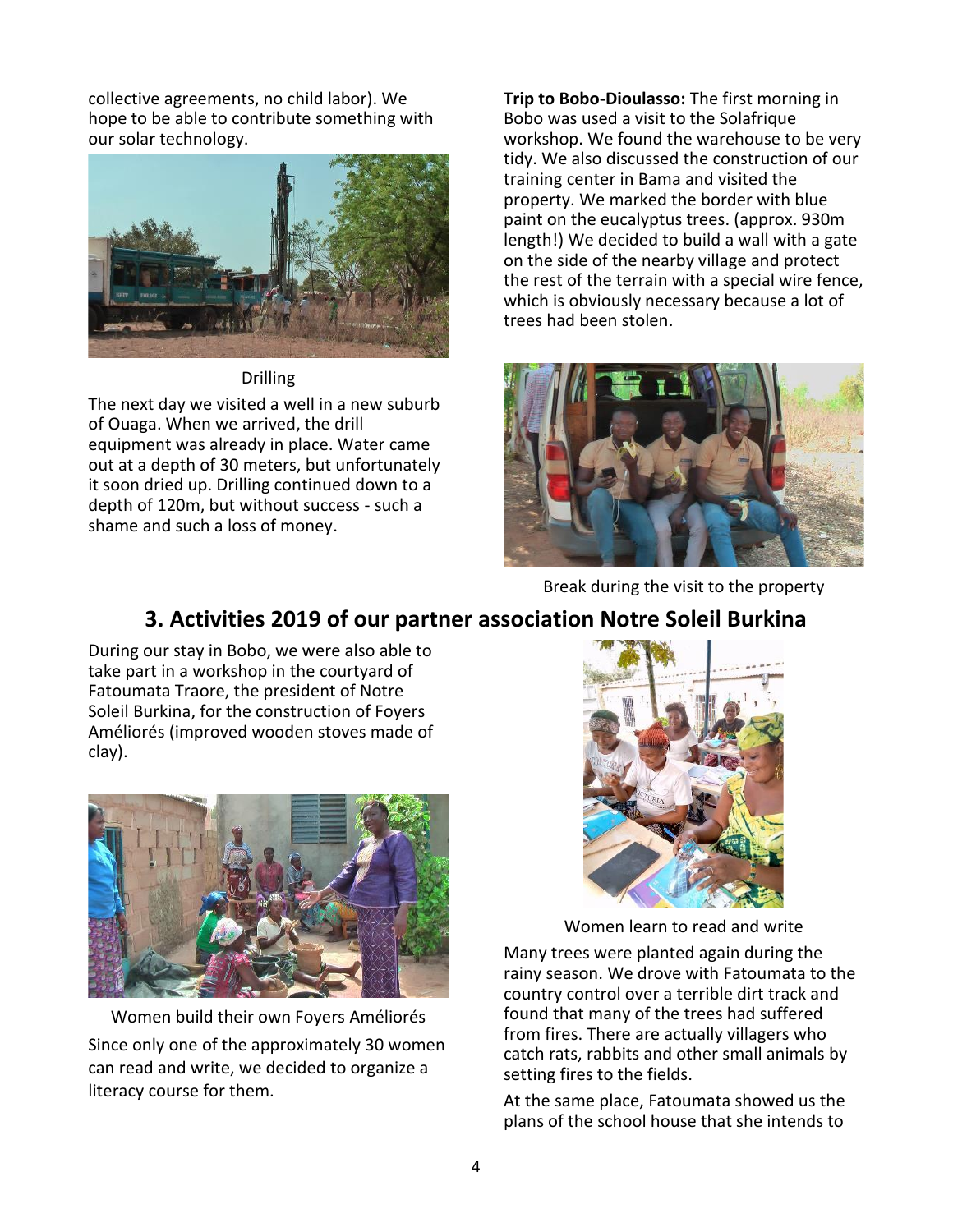collective agreements, no child labor). We hope to be able to contribute something with our solar technology.



Drilling

The next day we visited a well in a new suburb of Ouaga. When we arrived, the drill equipment was already in place. Water came out at a depth of 30 meters, but unfortunately it soon dried up. Drilling continued down to a depth of 120m, but without success - such a shame and such a loss of money.

**Trip to Bobo-Dioulasso:** The first morning in Bobo was used a visit to the Solafrique workshop. We found the warehouse to be very tidy. We also discussed the construction of our training center in Bama and visited the property. We marked the border with blue paint on the eucalyptus trees. (approx. 930m length!) We decided to build a wall with a gate on the side of the nearby village and protect the rest of the terrain with a special wire fence, which is obviously necessary because a lot of trees had been stolen.



Break during the visit to the property

## **3. Activities 2019 of our partner association Notre Soleil Burkina**

During our stay in Bobo, we were also able to take part in a workshop in the courtyard of Fatoumata Traore, the president of Notre Soleil Burkina, for the construction of Foyers Améliorés (improved wooden stoves made of clay).



Women build their own Foyers Améliorés Since only one of the approximately 30 women can read and write, we decided to organize a literacy course for them.



Women learn to read and write

Many trees were planted again during the rainy season. We drove with Fatoumata to the country control over a terrible dirt track and found that many of the trees had suffered from fires. There are actually villagers who catch rats, rabbits and other small animals by setting fires to the fields.

At the same place, Fatoumata showed us the plans of the school house that she intends to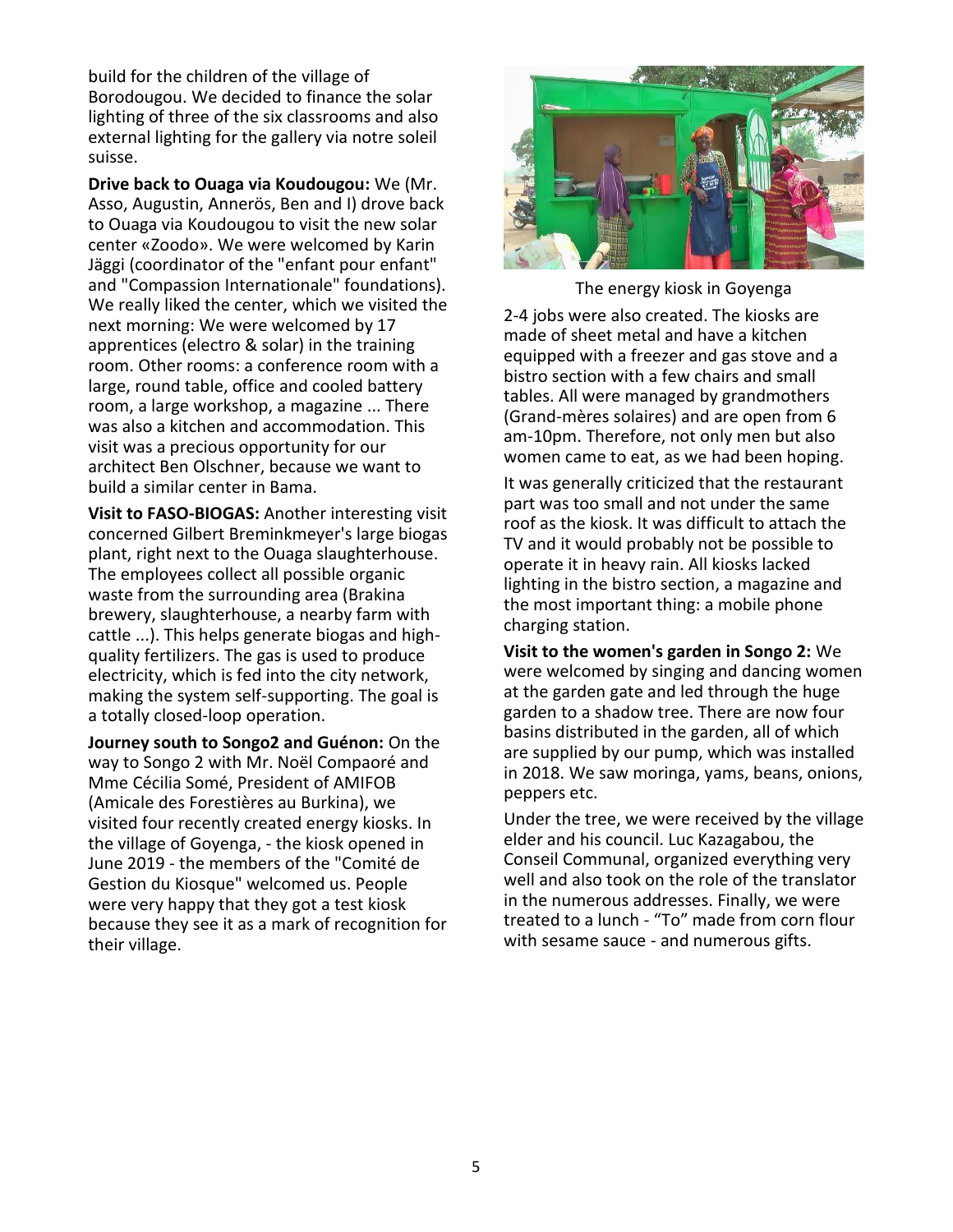build for the children of the village of Borodougou. We decided to finance the solar lighting of three of the six classrooms and also external lighting for the gallery via notre soleil suisse.

**Drive back to Ouaga via Koudougou:** We (Mr. Asso, Augustin, Annerös, Ben and I) drove back to Ouaga via Koudougou to visit the new solar center «Zoodo». We were welcomed by Karin Jäggi (coordinator of the "enfant pour enfant" and "Compassion Internationale" foundations). We really liked the center, which we visited the next morning: We were welcomed by 17 apprentices (electro & solar) in the training room. Other rooms: a conference room with a large, round table, office and cooled battery room, a large workshop, a magazine ... There was also a kitchen and accommodation. This visit was a precious opportunity for our architect Ben Olschner, because we want to build a similar center in Bama.

**Visit to FASO-BIOGAS:** Another interesting visit concerned Gilbert Breminkmeyer's large biogas plant, right next to the Ouaga slaughterhouse. The employees collect all possible organic waste from the surrounding area (Brakina brewery, slaughterhouse, a nearby farm with cattle ...). This helps generate biogas and highquality fertilizers. The gas is used to produce electricity, which is fed into the city network, making the system self-supporting. The goal is a totally closed-loop operation.

**Journey south to Songo2 and Guénon:** On the way to Songo 2 with Mr. Noël Compaoré and Mme Cécilia Somé, President of AMIFOB (Amicale des Forestières au Burkina), we visited four recently created energy kiosks. In the village of Goyenga, - the kiosk opened in June 2019 - the members of the "Comité de Gestion du Kiosque" welcomed us. People were very happy that they got a test kiosk because they see it as a mark of recognition for their village.



The energy kiosk in Goyenga

2-4 jobs were also created. The kiosks are made of sheet metal and have a kitchen equipped with a freezer and gas stove and a bistro section with a few chairs and small tables. All were managed by grandmothers (Grand-mères solaires) and are open from 6 am-10pm. Therefore, not only men but also women came to eat, as we had been hoping.

It was generally criticized that the restaurant part was too small and not under the same roof as the kiosk. It was difficult to attach the TV and it would probably not be possible to operate it in heavy rain. All kiosks lacked lighting in the bistro section, a magazine and the most important thing: a mobile phone charging station.

**Visit to the women's garden in Songo 2:** We were welcomed by singing and dancing women at the garden gate and led through the huge garden to a shadow tree. There are now four basins distributed in the garden, all of which are supplied by our pump, which was installed in 2018. We saw moringa, yams, beans, onions, peppers etc.

Under the tree, we were received by the village elder and his council. Luc Kazagabou, the Conseil Communal, organized everything very well and also took on the role of the translator in the numerous addresses. Finally, we were treated to a lunch - "To" made from corn flour with sesame sauce - and numerous gifts.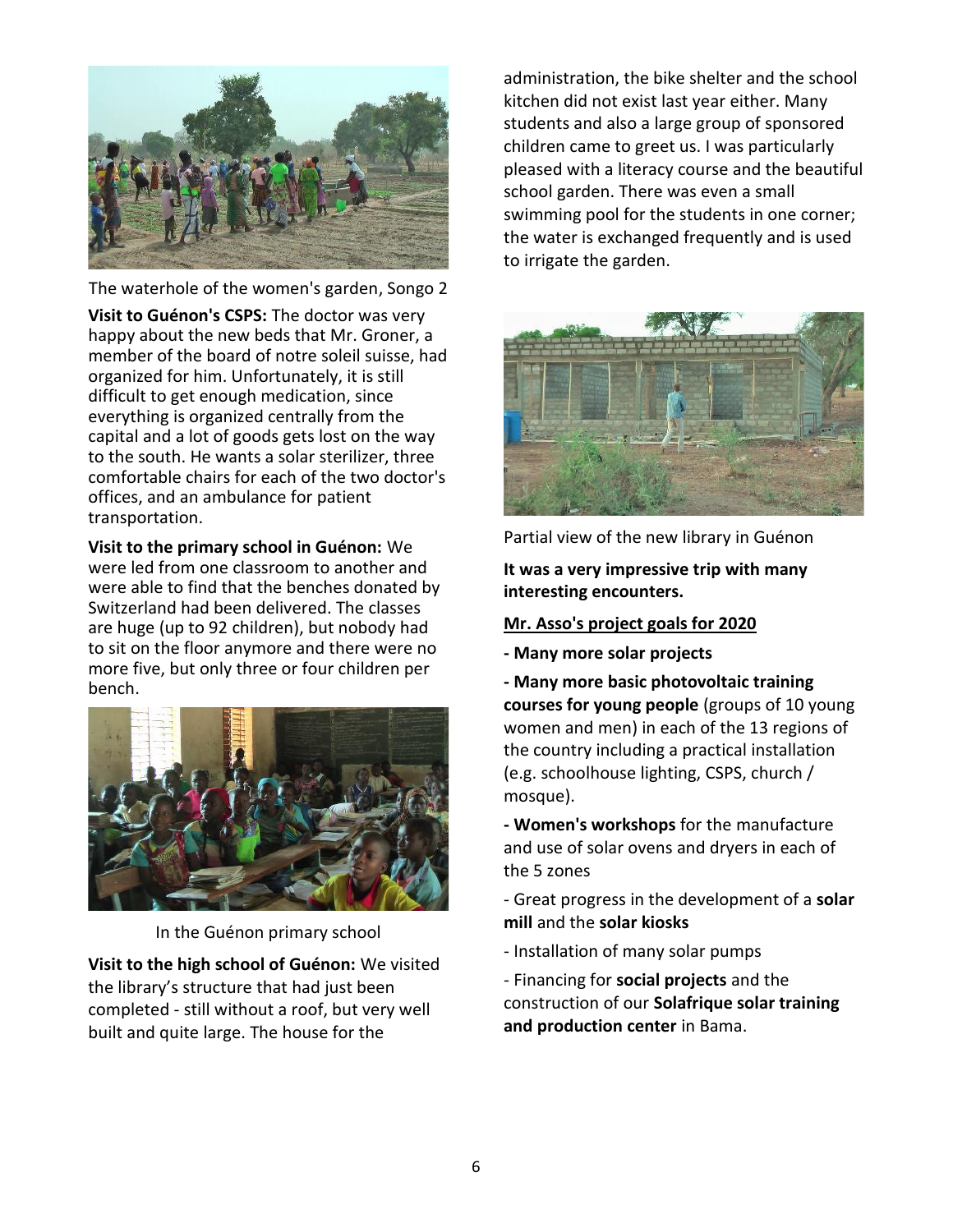

The waterhole of the women's garden, Songo 2

**Visit to Guénon's CSPS:** The doctor was very happy about the new beds that Mr. Groner, a member of the board of notre soleil suisse, had organized for him. Unfortunately, it is still difficult to get enough medication, since everything is organized centrally from the capital and a lot of goods gets lost on the way to the south. He wants a solar sterilizer, three comfortable chairs for each of the two doctor's offices, and an ambulance for patient transportation.

**Visit to the primary school in Guénon:** We were led from one classroom to another and were able to find that the benches donated by Switzerland had been delivered. The classes are huge (up to 92 children), but nobody had to sit on the floor anymore and there were no more five, but only three or four children per bench.



In the Guénon primary school

**Visit to the high school of Guénon:** We visited the library's structure that had just been completed - still without a roof, but very well built and quite large. The house for the

administration, the bike shelter and the school kitchen did not exist last year either. Many students and also a large group of sponsored children came to greet us. I was particularly pleased with a literacy course and the beautiful school garden. There was even a small swimming pool for the students in one corner; the water is exchanged frequently and is used to irrigate the garden.



Partial view of the new library in Guénon

**It was a very impressive trip with many interesting encounters.**

#### **Mr. Asso's project goals for 2020**

- **- Many more solar projects**
- **- Many more basic photovoltaic training courses for young people** (groups of 10 young women and men) in each of the 13 regions of the country including a practical installation (e.g. schoolhouse lighting, CSPS, church / mosque).

**- Women's workshops** for the manufacture and use of solar ovens and dryers in each of the 5 zones

- Great progress in the development of a **solar mill** and the **solar kiosks**

- Installation of many solar pumps

- Financing for **social projects** and the construction of our **Solafrique solar training and production center** in Bama.